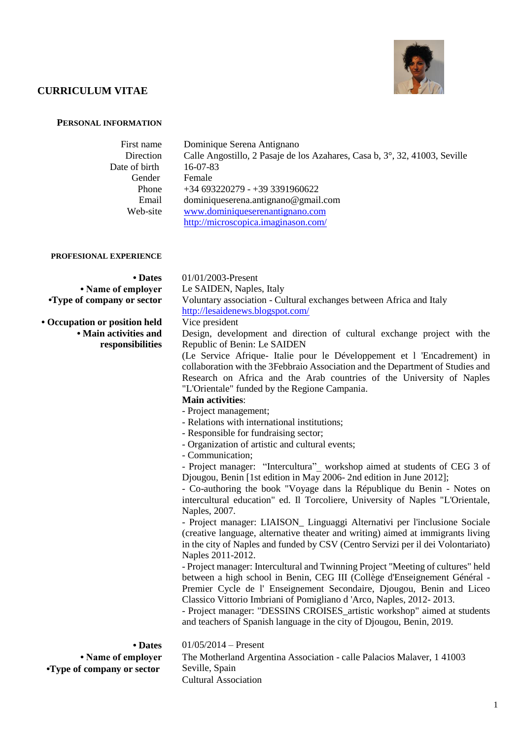

# **CURRICULUM VITAE**

# **PERSONAL INFORMATION**

| First name    | Dominique Serena Antignano                                                 |
|---------------|----------------------------------------------------------------------------|
| Direction     | Calle Angostillo, 2 Pasaje de los Azahares, Casa b, 3°, 32, 41003, Seville |
| Date of birth | $16-07-83$                                                                 |
| Gender        | Female                                                                     |
| Phone         | $+34693220279 - +39391960622$                                              |
| Email         | dominiqueserena.antignano@gmail.com                                        |
| Web-site      | www.dominiqueserenantignano.com                                            |
|               | http://microscopica.imaginason.com/                                        |
|               |                                                                            |

### **PROFESIONAL EXPERIENCE**

| • Dates                       | $01/01/2003$ -Present                                               |  |  |  |  |  |
|-------------------------------|---------------------------------------------------------------------|--|--|--|--|--|
| • Name of employer            | Le SAIDEN, Naples, Italy                                            |  |  |  |  |  |
| •Type of company or sector    | Voluntary association - Cultural exchanges between Africa and Italy |  |  |  |  |  |
|                               | http://lesaidenews.blogspot.com/                                    |  |  |  |  |  |
| • Occupation or position held | Vice president                                                      |  |  |  |  |  |

**• Main activities and responsibilities**

Design, development and direction of cultural exchange project with the Republic of Benin: Le SAIDEN

(Le Service Afrique- Italie pour le Développement et l 'Encadrement) in collaboration with the 3Febbraio Association and the Department of Studies and Research on Africa and the Arab countries of the University of Naples "L'Orientale" funded by the Regione Campania.

**Main activities**:

- Project management;
- Relations with international institutions;
- Responsible for fundraising sector;
- Organization of artistic and cultural events;
- Communication;

- Project manager: "Intercultura"\_ workshop aimed at students of CEG 3 of Djougou, Benin [1st edition in May 2006- 2nd edition in June 2012];

- Co-authoring the book "Voyage dans la République du Benin - Notes on intercultural education" ed. Il Torcoliere, University of Naples "L'Orientale, Naples, 2007.

- Project manager: LIAISON\_ Linguaggi Alternativi per l'inclusione Sociale (creative language, alternative theater and writing) aimed at immigrants living in the city of Naples and funded by CSV (Centro Servizi per il dei Volontariato) Naples 2011-2012.

- Project manager: Intercultural and Twinning Project "Meeting of cultures" held between a high school in Benin, CEG III (Collège d'Enseignement Général - Premier Cycle de l' Enseignement Secondaire, Djougou, Benin and Liceo Classico Vittorio Imbriani of Pomigliano d 'Arco, Naples, 2012- 2013.

- Project manager: "DESSINS CROISES\_artistic workshop" aimed at students and teachers of Spanish language in the city of Djougou, Benin, 2019.

**• Dates • Name of employer •Type of company or sector**

01/05/2014 – Present The Motherland Argentina Association - calle Palacios Malaver, 1 41003 Seville, Spain Cultural Association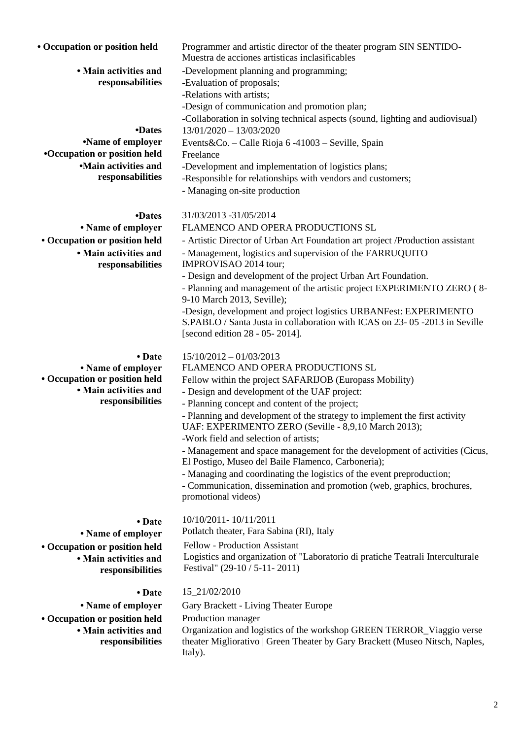| responsabilities                          | -Evaluation of proposals;                                                                                                                                                          |  |  |  |  |  |
|-------------------------------------------|------------------------------------------------------------------------------------------------------------------------------------------------------------------------------------|--|--|--|--|--|
|                                           | -Relations with artists;                                                                                                                                                           |  |  |  |  |  |
|                                           | -Design of communication and promotion plan;                                                                                                                                       |  |  |  |  |  |
|                                           | -Collaboration in solving technical aspects (sound, lighting and audiovisual)                                                                                                      |  |  |  |  |  |
| •Dates                                    | $13/01/2020 - 13/03/2020$                                                                                                                                                          |  |  |  |  |  |
| •Name of employer                         | Events&Co. - Calle Rioja 6 -41003 - Seville, Spain                                                                                                                                 |  |  |  |  |  |
| <b>•Occupation or position held</b>       | Freelance                                                                                                                                                                          |  |  |  |  |  |
| •Main activities and                      | -Development and implementation of logistics plans;                                                                                                                                |  |  |  |  |  |
| responsabilities                          | -Responsible for relationships with vendors and customers;                                                                                                                         |  |  |  |  |  |
|                                           | - Managing on-site production                                                                                                                                                      |  |  |  |  |  |
| •Dates                                    | 31/03/2013 -31/05/2014                                                                                                                                                             |  |  |  |  |  |
| • Name of employer                        | FLAMENCO AND OPERA PRODUCTIONS SL                                                                                                                                                  |  |  |  |  |  |
| • Occupation or position held             | - Artistic Director of Urban Art Foundation art project / Production assistant                                                                                                     |  |  |  |  |  |
| • Main activities and<br>responsabilities | - Management, logistics and supervision of the FARRUQUITO<br>IMPROVISAO 2014 tour;                                                                                                 |  |  |  |  |  |
|                                           | - Design and development of the project Urban Art Foundation.                                                                                                                      |  |  |  |  |  |
|                                           | - Planning and management of the artistic project EXPERIMENTO ZERO (8-<br>9-10 March 2013, Seville);                                                                               |  |  |  |  |  |
|                                           | -Design, development and project logistics URBANFest: EXPERIMENTO<br>S.PABLO / Santa Justa in collaboration with ICAS on 23-05-2013 in Seville<br>[second edition 28 - 05 - 2014]. |  |  |  |  |  |
| • Date                                    | $15/10/2012 - 01/03/2013$                                                                                                                                                          |  |  |  |  |  |
| • Name of employer                        | FLAMENCO AND OPERA PRODUCTIONS SL                                                                                                                                                  |  |  |  |  |  |
| • Occupation or position held             | Fellow within the project SAFARIJOB (Europass Mobility)                                                                                                                            |  |  |  |  |  |
| · Main activities and                     | - Design and development of the UAF project:                                                                                                                                       |  |  |  |  |  |
| responsibilities                          | - Planning concept and content of the project;                                                                                                                                     |  |  |  |  |  |
|                                           | - Planning and development of the strategy to implement the first activity<br>UAF: EXPERIMENTO ZERO (Seville - 8,9,10 March 2013);                                                 |  |  |  |  |  |
|                                           | -Work field and selection of artists;                                                                                                                                              |  |  |  |  |  |
|                                           | - Management and space management for the development of activities (Cicus,                                                                                                        |  |  |  |  |  |
|                                           | El Postigo, Museo del Baile Flamenco, Carboneria);                                                                                                                                 |  |  |  |  |  |
|                                           | - Managing and coordinating the logistics of the event preproduction;                                                                                                              |  |  |  |  |  |
|                                           | - Communication, dissemination and promotion (web, graphics, brochures,                                                                                                            |  |  |  |  |  |

• Occupation or position held Programmer and artistic director of the theater program SIN SENTIDO-

Muestra de acciones artisticas inclasificables

-Development planning and programming;

**• Date • Name of employer • Occupation or position held • Main activities and responsibilities**

**• Main activities and** 

Potlatch theater, Fara Sabina (RI), Italy Fellow - Production Assistant Logistics and organization of "Laboratorio di pratiche Teatrali Interculturale Festival" (29-10 / 5-11- 2011)

**• Occupation or position held • Main activities and responsibilities**

# • Date 15 21/02/2010

• **Name of employer** Gary Brackett - Living Theater Europe

Production manager

promotional videos)

10/10/2011- 10/11/2011

Organization and logistics of the workshop GREEN TERROR\_Viaggio verse theater Migliorativo | Green Theater by Gary Brackett (Museo Nitsch, Naples, Italy).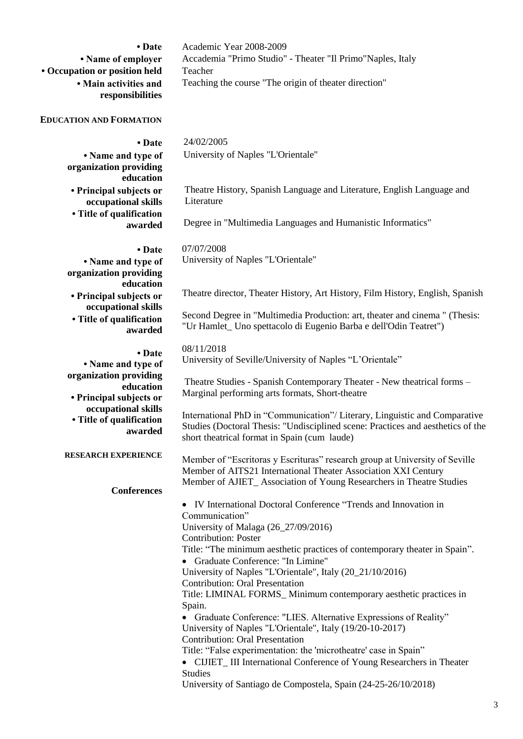| • Name of employer<br>• Occupation or position held       | Accademia "Primo Studio" - Theater "Il Primo"Naples, Italy<br>Teacher                                                                         |  |  |  |  |  |
|-----------------------------------------------------------|-----------------------------------------------------------------------------------------------------------------------------------------------|--|--|--|--|--|
| • Main activities and<br>responsibilities                 | Teaching the course "The origin of theater direction"                                                                                         |  |  |  |  |  |
| <b>EDUCATION AND FORMATION</b>                            |                                                                                                                                               |  |  |  |  |  |
| • Date                                                    | 24/02/2005                                                                                                                                    |  |  |  |  |  |
| • Name and type of<br>organization providing<br>education | University of Naples "L'Orientale"                                                                                                            |  |  |  |  |  |
| • Principal subjects or<br>occupational skills            | Theatre History, Spanish Language and Literature, English Language and<br>Literature                                                          |  |  |  |  |  |
| • Title of qualification<br>awarded                       | Degree in "Multimedia Languages and Humanistic Informatics"                                                                                   |  |  |  |  |  |
| • Date                                                    | 07/07/2008                                                                                                                                    |  |  |  |  |  |
| • Name and type of<br>organization providing              | University of Naples "L'Orientale"                                                                                                            |  |  |  |  |  |
| education<br>• Principal subjects or                      | Theatre director, Theater History, Art History, Film History, English, Spanish                                                                |  |  |  |  |  |
| occupational skills<br>• Title of qualification           | Second Degree in "Multimedia Production: art, theater and cinema " (Thesis:                                                                   |  |  |  |  |  |
| awarded                                                   | "Ur Hamlet_ Uno spettacolo di Eugenio Barba e dell'Odin Teatret")                                                                             |  |  |  |  |  |
| • Date                                                    | 08/11/2018                                                                                                                                    |  |  |  |  |  |
| • Name and type of                                        | University of Seville/University of Naples "L'Orientale"                                                                                      |  |  |  |  |  |
| organization providing                                    | Theatre Studies - Spanish Contemporary Theater - New theatrical forms -                                                                       |  |  |  |  |  |
| education                                                 | Marginal performing arts formats, Short-theatre                                                                                               |  |  |  |  |  |
| • Principal subjects or<br>occupational skills            |                                                                                                                                               |  |  |  |  |  |
| • Title of qualification                                  | International PhD in "Communication"/ Literary, Linguistic and Comparative                                                                    |  |  |  |  |  |
| awarded                                                   | Studies (Doctoral Thesis: "Undisciplined scene: Practices and aesthetics of the<br>short theatrical format in Spain (cum laude)               |  |  |  |  |  |
| <b>RESEARCH EXPERIENCE</b>                                | Member of "Escritoras y Escrituras" research group at University of Seville<br>Member of AITS21 International Theater Association XXI Century |  |  |  |  |  |
| <b>Conferences</b>                                        | Member of AJIET_Association of Young Researchers in Theatre Studies                                                                           |  |  |  |  |  |
|                                                           | • IV International Doctoral Conference "Trends and Innovation in                                                                              |  |  |  |  |  |
|                                                           | Communication"                                                                                                                                |  |  |  |  |  |
|                                                           | University of Malaga (26_27/09/2016)                                                                                                          |  |  |  |  |  |
|                                                           | <b>Contribution: Poster</b>                                                                                                                   |  |  |  |  |  |
|                                                           | Title: "The minimum aesthetic practices of contemporary theater in Spain".                                                                    |  |  |  |  |  |
|                                                           | • Graduate Conference: "In Limine"<br>University of Naples "L'Orientale", Italy (20_21/10/2016)                                               |  |  |  |  |  |
|                                                           | <b>Contribution: Oral Presentation</b>                                                                                                        |  |  |  |  |  |
|                                                           | Title: LIMINAL FORMS_Minimum contemporary aesthetic practices in<br>Spain.                                                                    |  |  |  |  |  |
|                                                           | • Graduate Conference: "LIES. Alternative Expressions of Reality"<br>University of Naples "L'Orientale", Italy (19/20-10-2017)                |  |  |  |  |  |
|                                                           | <b>Contribution: Oral Presentation</b>                                                                                                        |  |  |  |  |  |
|                                                           | Title: "False experimentation: the 'microtheatre' case in Spain"                                                                              |  |  |  |  |  |
|                                                           | • CIJIET_III International Conference of Young Researchers in Theater                                                                         |  |  |  |  |  |
|                                                           | <b>Studies</b><br>University of Santiago de Compostela, Spain (24-25-26/10/2018)                                                              |  |  |  |  |  |
|                                                           |                                                                                                                                               |  |  |  |  |  |

**• Date**

Academic Year 2008-2009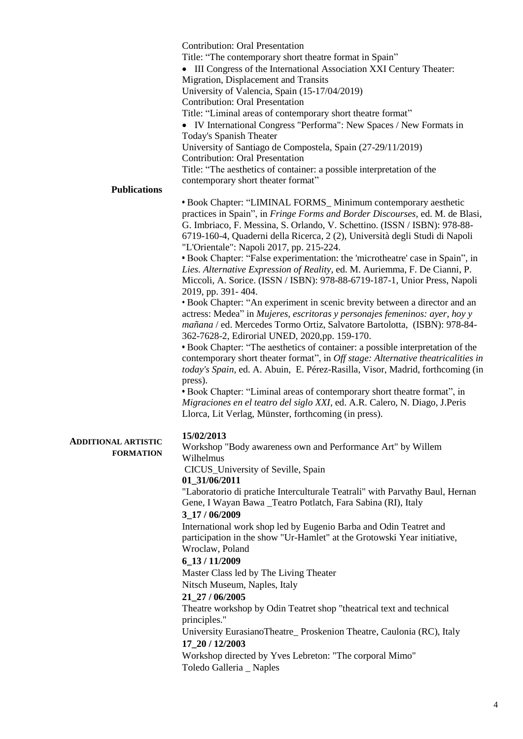|                                          | <b>Contribution: Oral Presentation</b><br>Title: "The contemporary short theatre format in Spain"<br>• III Congress of the International Association XXI Century Theater:<br>Migration, Displacement and Transits<br>University of Valencia, Spain (15-17/04/2019)<br><b>Contribution: Oral Presentation</b><br>Title: "Liminal areas of contemporary short theatre format"<br>• IV International Congress "Performa": New Spaces / New Formats in<br>Today's Spanish Theater<br>University of Santiago de Compostela, Spain (27-29/11/2019)<br><b>Contribution: Oral Presentation</b><br>Title: "The aesthetics of container: a possible interpretation of the<br>contemporary short theater format"                                                                                                                                                                                                                                                                                                                                                                                                                                                                                                                                                                                                                                                                                                |
|------------------------------------------|------------------------------------------------------------------------------------------------------------------------------------------------------------------------------------------------------------------------------------------------------------------------------------------------------------------------------------------------------------------------------------------------------------------------------------------------------------------------------------------------------------------------------------------------------------------------------------------------------------------------------------------------------------------------------------------------------------------------------------------------------------------------------------------------------------------------------------------------------------------------------------------------------------------------------------------------------------------------------------------------------------------------------------------------------------------------------------------------------------------------------------------------------------------------------------------------------------------------------------------------------------------------------------------------------------------------------------------------------------------------------------------------------|
| <b>Publications</b>                      |                                                                                                                                                                                                                                                                                                                                                                                                                                                                                                                                                                                                                                                                                                                                                                                                                                                                                                                                                                                                                                                                                                                                                                                                                                                                                                                                                                                                      |
|                                          | • Book Chapter: "LIMINAL FORMS_Minimum contemporary aesthetic<br>practices in Spain", in Fringe Forms and Border Discourses, ed. M. de Blasi,<br>G. Imbriaco, F. Messina, S. Orlando, V. Schettino. (ISSN / ISBN): 978-88-<br>6719-160-4, Quaderni della Ricerca, 2 (2), Università degli Studi di Napoli<br>"L'Orientale": Napoli 2017, pp. 215-224.<br>• Book Chapter: "False experimentation: the 'microtheatre' case in Spain", in<br>Lies. Alternative Expression of Reality, ed. M. Auriemma, F. De Cianni, P.<br>Miccoli, A. Sorice. (ISSN / ISBN): 978-88-6719-187-1, Unior Press, Napoli<br>2019, pp. 391-404.<br>• Book Chapter: "An experiment in scenic brevity between a director and an<br>actress: Medea" in Mujeres, escritoras y personajes femeninos: ayer, hoy y<br>mañana / ed. Mercedes Tormo Ortiz, Salvatore Bartolotta, (ISBN): 978-84-<br>362-7628-2, Edirorial UNED, 2020,pp. 159-170.<br>• Book Chapter: "The aesthetics of container: a possible interpretation of the<br>contemporary short theater format", in Off stage: Alternative theatricalities in<br>today's Spain, ed. A. Abuin, E. Pérez-Rasilla, Visor, Madrid, forthcoming (in<br>press).<br>• Book Chapter: "Liminal areas of contemporary short theatre format", in<br>Migraciones en el teatro del siglo XXI, ed. A.R. Calero, N. Diago, J.Peris<br>Llorca, Lit Verlag, Münster, forthcoming (in press). |
| <b>ONAL ARTISTIC</b><br><b>FORMATION</b> | 15/02/2013<br>Workshop "Body awareness own and Performance Art" by Willem<br>Wilhelmus<br>CICUS_University of Seville, Spain<br>01_31/06/2011<br>"Laboratorio di pratiche Interculturale Teatrali" with Parvathy Baul, Hernan<br>Gene, I Wayan Bawa _Teatro Potlatch, Fara Sabina (RI), Italy<br>3_17 / 06/2009<br>International work shop led by Eugenio Barba and Odin Teatret and<br>participation in the show "Ur-Hamlet" at the Grotowski Year initiative,<br>Wroclaw, Poland<br>6_13 / 11/2009<br>Master Class led by The Living Theater<br>Nitsch Museum, Naples, Italy<br>21_27 / 06/2005<br>Theatre workshop by Odin Teatret shop "theatrical text and technical<br>principles."<br>University EurasianoTheatre_Proskenion Theatre, Caulonia (RC), Italy<br>17_20 / 12/2003<br>Workshop directed by Yves Lebreton: "The corporal Mimo"<br>Toledo Galleria _ Naples                                                                                                                                                                                                                                                                                                                                                                                                                                                                                                                          |

# **ADDITIC**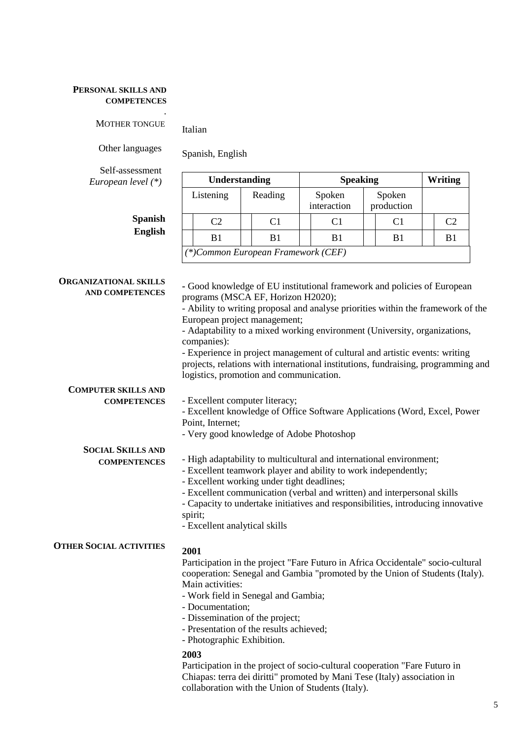### **PERSONAL SKILLS AND COMPETENCES**

MOTHER TONGUE

Other languages

**Spanish English**

Spanish, English

Italian

*.*

Self-assessment *European level (\*)*

| Understanding                         |                |  | <b>Speaking</b> |                       |    | Writing              |                |  |    |
|---------------------------------------|----------------|--|-----------------|-----------------------|----|----------------------|----------------|--|----|
| Listening                             |                |  | Reading         | Spoken<br>interaction |    | Spoken<br>production |                |  |    |
|                                       | C <sub>2</sub> |  | C1              |                       | C1 |                      | C <sub>1</sub> |  | C2 |
|                                       | B1             |  | B1              |                       | B1 |                      | B1             |  | B1 |
| $(*) Common European Framework (CEF)$ |                |  |                 |                       |    |                      |                |  |    |

| <b>ORGANIZATIONAL SKILLS</b><br>AND COMPETENCES | - Good knowledge of EU institutional framework and policies of European<br>programs (MSCA EF, Horizon H2020);                                                                                               |  |  |  |  |  |
|-------------------------------------------------|-------------------------------------------------------------------------------------------------------------------------------------------------------------------------------------------------------------|--|--|--|--|--|
|                                                 | - Ability to writing proposal and analyse priorities within the framework of the                                                                                                                            |  |  |  |  |  |
|                                                 | European project management;                                                                                                                                                                                |  |  |  |  |  |
|                                                 | - Adaptability to a mixed working environment (University, organizations,<br>companies):                                                                                                                    |  |  |  |  |  |
|                                                 | - Experience in project management of cultural and artistic events: writing<br>projects, relations with international institutions, fundraising, programming and<br>logistics, promotion and communication. |  |  |  |  |  |
| <b>COMPUTER SKILLS AND</b>                      |                                                                                                                                                                                                             |  |  |  |  |  |
| <b>COMPETENCES</b>                              | - Excellent computer literacy;                                                                                                                                                                              |  |  |  |  |  |
|                                                 | - Excellent knowledge of Office Software Applications (Word, Excel, Power<br>Point, Internet;                                                                                                               |  |  |  |  |  |
|                                                 | - Very good knowledge of Adobe Photoshop                                                                                                                                                                    |  |  |  |  |  |
| <b>SOCIAL SKILLS AND</b>                        |                                                                                                                                                                                                             |  |  |  |  |  |
| <b>COMPENTENCES</b>                             | - High adaptability to multicultural and international environment;                                                                                                                                         |  |  |  |  |  |
|                                                 | - Excellent teamwork player and ability to work independently;                                                                                                                                              |  |  |  |  |  |
|                                                 | - Excellent working under tight deadlines;                                                                                                                                                                  |  |  |  |  |  |
|                                                 | - Excellent communication (verbal and written) and interpersonal skills                                                                                                                                     |  |  |  |  |  |
|                                                 | - Capacity to undertake initiatives and responsibilities, introducing innovative                                                                                                                            |  |  |  |  |  |
|                                                 | spirit;                                                                                                                                                                                                     |  |  |  |  |  |
|                                                 | - Excellent analytical skills                                                                                                                                                                               |  |  |  |  |  |
| <b>OTHER SOCIAL ACTIVITIES</b>                  |                                                                                                                                                                                                             |  |  |  |  |  |
|                                                 | 2001                                                                                                                                                                                                        |  |  |  |  |  |
|                                                 | Participation in the project "Fare Futuro in Africa Occidentale" socio-cultural                                                                                                                             |  |  |  |  |  |
|                                                 | cooperation: Senegal and Gambia "promoted by the Union of Students (Italy).                                                                                                                                 |  |  |  |  |  |
|                                                 | Main activities:                                                                                                                                                                                            |  |  |  |  |  |
|                                                 | - Work field in Senegal and Gambia;                                                                                                                                                                         |  |  |  |  |  |
|                                                 | - Documentation;                                                                                                                                                                                            |  |  |  |  |  |
|                                                 | - Dissemination of the project;                                                                                                                                                                             |  |  |  |  |  |
|                                                 | - Presentation of the results achieved;                                                                                                                                                                     |  |  |  |  |  |
|                                                 | - Photographic Exhibition.                                                                                                                                                                                  |  |  |  |  |  |
|                                                 | 2003                                                                                                                                                                                                        |  |  |  |  |  |
|                                                 | Participation in the project of socio-cultural cooperation "Fare Futuro in                                                                                                                                  |  |  |  |  |  |
|                                                 | Chiapas: terra dei diritti" promoted by Mani Tese (Italy) association in                                                                                                                                    |  |  |  |  |  |

collaboration with the Union of Students (Italy).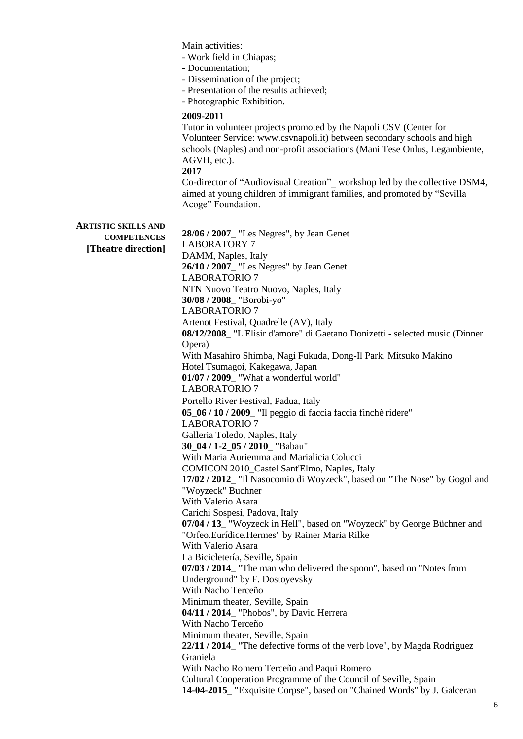**ARTISTIC SKILLS AND COMPETENCES [Theatre direction]** Main activities: - Work field in Chiapas; - Documentation; - Dissemination of the project; - Presentation of the results achieved; - Photographic Exhibition. **2009-2011** Tutor in volunteer projects promoted by the Napoli CSV (Center for Volunteer Service: www.csvnapoli.it) between secondary schools and high schools (Naples) and non-profit associations (Mani Tese Onlus, Legambiente, AGVH, etc.). **2017** Co-director of "Audiovisual Creation"\_ workshop led by the collective DSM4, aimed at young children of immigrant families, and promoted by "Sevilla Acoge" Foundation. **28/06 / 2007**\_ "Les Negres", by Jean Genet LABORATORY 7 DAMM, Naples, Italy **26/10 / 2007**\_ "Les Negres" by Jean Genet LABORATORIO 7 NTN Nuovo Teatro Nuovo, Naples, Italy **30/08 / 2008**\_ "Borobi-yo" LABORATORIO 7 Artenot Festival, Quadrelle (AV), Italy **08/12/2008**\_ "L'Elisir d'amore" di Gaetano Donizetti - selected music (Dinner Opera) With Masahiro Shimba, Nagi Fukuda, Dong-Il Park, Mitsuko Makino Hotel Tsumagoi, Kakegawa, Japan **01/07 / 2009**\_ "What a wonderful world" LABORATORIO 7 Portello River Festival, Padua, Italy **05\_06 / 10 / 2009**\_ "Il peggio di faccia faccia finchè ridere" LABORATORIO 7 Galleria Toledo, Naples, Italy **30\_04 / 1-2\_05 / 2010**\_ "Babau" With Maria Auriemma and Marialicia Colucci COMICON 2010\_Castel Sant'Elmo, Naples, Italy **17/02 / 2012**\_ "Il Nasocomio di Woyzeck", based on "The Nose" by Gogol and "Woyzeck" Buchner With Valerio Asara Carichi Sospesi, Padova, Italy **07/04 / 13**\_ "Woyzeck in Hell", based on "Woyzeck" by George Büchner and "Orfeo.Eurídice.Hermes" by Rainer Maria Rilke With Valerio Asara La Bicicletería, Seville, Spain **07/03 / 2014**\_ "The man who delivered the spoon", based on "Notes from Underground" by F. Dostoyevsky With Nacho Terceño Minimum theater, Seville, Spain **04/11 / 2014**\_ "Phobos", by David Herrera With Nacho Terceño Minimum theater, Seville, Spain **22/11 / 2014**\_ "The defective forms of the verb love", by Magda Rodriguez Graniela With Nacho Romero Terceño and Paqui Romero Cultural Cooperation Programme of the Council of Seville, Spain **14-04-2015**\_ "Exquisite Corpse", based on "Chained Words" by J. Galceran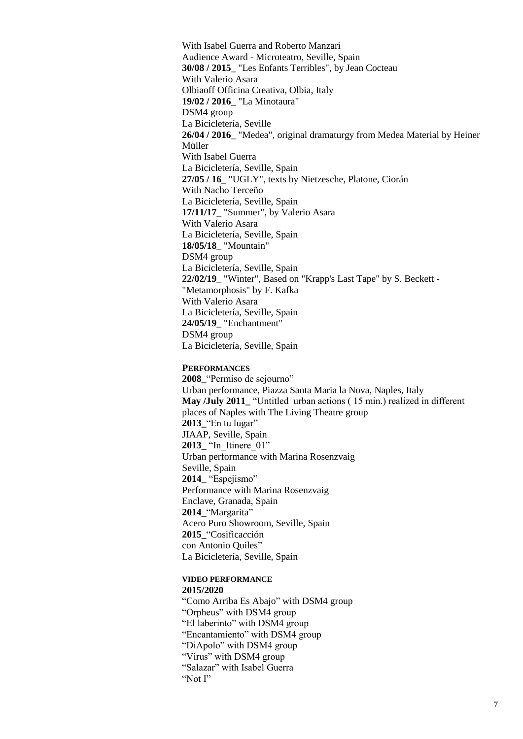With Isabel Guerra and Roberto Manzari Audience Award - Microteatro, Seville, Spain **30/08 / 2015**\_ "Les Enfants Terribles", by Jean Cocteau With Valerio Asara Olbiaoff Officina Creativa, Olbia, Italy **19/02 / 2016**\_ "La Minotaura" DSM4 group La Bicicletería, Seville **26/04 / 2016**\_ "Medea", original dramaturgy from Medea Material by Heiner Müller With Isabel Guerra La Bicicletería, Seville, Spain **27/05 / 16**\_ "UGLY", texts by Nietzesche, Platone, Ciorán With Nacho Terceño La Bicicletería, Seville, Spain **17/11/17**\_ "Summer", by Valerio Asara With Valerio Asara La Bicicletería, Seville, Spain **18/05/18**\_ "Mountain" DSM4 group La Bicicletería, Seville, Spain **22/02/19**\_ "Winter", Based on "Krapp's Last Tape" by S. Beckett - "Metamorphosis" by F. Kafka With Valerio Asara La Bicicletería, Seville, Spain **24/05/19**\_ "Enchantment" DSM4 group La Bicicletería, Seville, Spain

### **PERFORMANCES**

**2008\_**"Permiso de sejourno" Urban performance, Piazza Santa Maria la Nova, Naples, Italy **May /July 2011** "Untitled urban actions ( 15 min.) realized in different places of Naples with The Living Theatre group **2013\_**"En tu lugar" JIAAP, Seville, Spain 2013\_ "In Itinere 01" Urban performance with Marina Rosenzvaig Seville, Spain **2014\_** "Espejismo" Performance with Marina Rosenzvaig Enclave, Granada, Spain **2014\_**"Margarita" Acero Puro Showroom, Seville, Spain **2015\_**"Cosifica*c*ción con Antonio Quiles" La Bicicletería, Seville, Spain

### **VIDEO PERFORMANCE 2015/2020**

"Como Arriba Es Abajo" with DSM4 group "Orpheus" with DSM4 group "El laberinto" with DSM4 group "Encantamiento" with DSM4 group "DiApolo" with DSM4 group "Virus" with DSM4 group "Salazar" with Isabel Guerra "Not I"